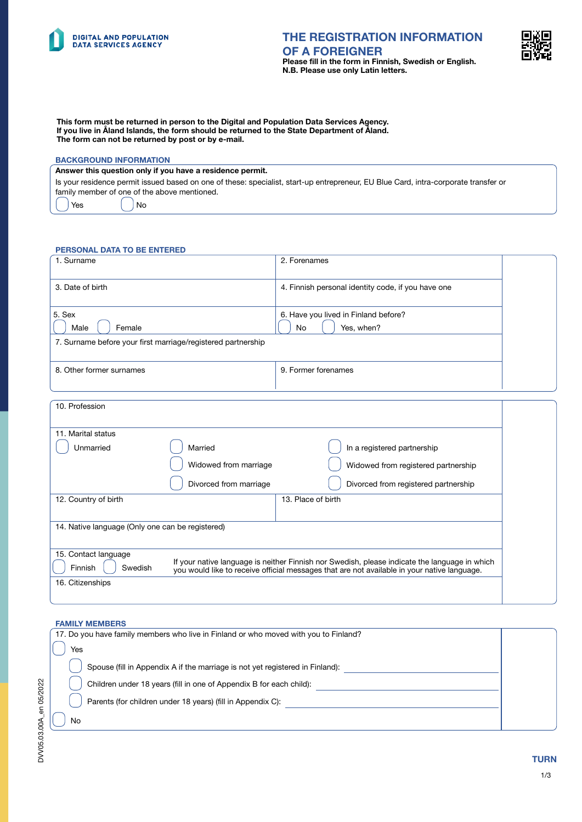



This form must be returned in person to the Digital and Population Data Services Agency. If you live in Åland Islands, the form should be returned to the State Department of Åland. The form can not be returned by post or by e-mail.

# BACKGROUND INFORMATION

#### Answer this question only if you have a residence permit.

Is your residence permit issued based on one of these: specialist, start-up entrepreneur, EU Blue Card, intra-corporate transfer or family member of one of the above mentioned.

Yes | No

#### PERSONAL DATA TO BE ENTERED

| 1. Surname                                                                                                                                                                                                                                 |                        | 2. Forenames                                       |  |  |  |
|--------------------------------------------------------------------------------------------------------------------------------------------------------------------------------------------------------------------------------------------|------------------------|----------------------------------------------------|--|--|--|
| 3. Date of birth                                                                                                                                                                                                                           |                        | 4. Finnish personal identity code, if you have one |  |  |  |
| 5. Sex                                                                                                                                                                                                                                     |                        | 6. Have you lived in Finland before?               |  |  |  |
| Male<br>Female                                                                                                                                                                                                                             |                        | <b>No</b><br>Yes, when?                            |  |  |  |
| 7. Surname before your first marriage/registered partnership                                                                                                                                                                               |                        |                                                    |  |  |  |
| 8. Other former surnames                                                                                                                                                                                                                   |                        | 9. Former forenames                                |  |  |  |
| 10. Profession                                                                                                                                                                                                                             |                        |                                                    |  |  |  |
| 11. Marital status                                                                                                                                                                                                                         |                        |                                                    |  |  |  |
| Unmarried                                                                                                                                                                                                                                  | Married                | In a registered partnership                        |  |  |  |
|                                                                                                                                                                                                                                            | Widowed from marriage  | Widowed from registered partnership                |  |  |  |
|                                                                                                                                                                                                                                            | Divorced from marriage | Divorced from registered partnership               |  |  |  |
| 12. Country of birth                                                                                                                                                                                                                       |                        | 13. Place of birth                                 |  |  |  |
| 14. Native language (Only one can be registered)                                                                                                                                                                                           |                        |                                                    |  |  |  |
| 15. Contact language<br>If your native language is neither Finnish nor Swedish, please indicate the language in which<br>Swedish<br>Finnish<br>you would like to receive official messages that are not available in your native language. |                        |                                                    |  |  |  |
| 16. Citizenships                                                                                                                                                                                                                           |                        |                                                    |  |  |  |

#### FAMILY MEMBERS

| 17. Do you have family members who live in Finland or who moved with you to Finland? |  |  |
|--------------------------------------------------------------------------------------|--|--|
| Yes                                                                                  |  |  |
| Spouse (fill in Appendix A if the marriage is not yet registered in Finland):        |  |  |
| Children under 18 years (fill in one of Appendix B for each child):                  |  |  |
| Parents (for children under 18 years) (fill in Appendix C):                          |  |  |
| No.                                                                                  |  |  |

# DVV05.03.00A\_en 05/2022 DVV05.03.00A\_en 05/2022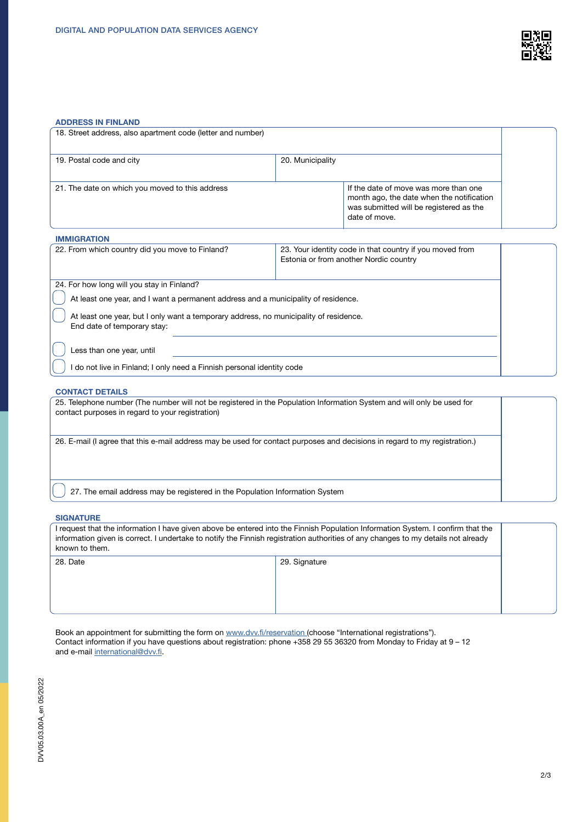

### ADDRESS IN FINLAND

| 18. Street address, also apartment code (letter and number)                                                          |                  |                                                                                                                                                |  |  |
|----------------------------------------------------------------------------------------------------------------------|------------------|------------------------------------------------------------------------------------------------------------------------------------------------|--|--|
| 19. Postal code and city                                                                                             | 20. Municipality |                                                                                                                                                |  |  |
| 21. The date on which you moved to this address                                                                      |                  | If the date of move was more than one<br>month ago, the date when the notification<br>was submitted will be registered as the<br>date of move. |  |  |
| <b>IMMIGRATION</b>                                                                                                   |                  |                                                                                                                                                |  |  |
| 22. From which country did you move to Finland?                                                                      |                  | 23. Your identity code in that country if you moved from<br>Estonia or from another Nordic country                                             |  |  |
| 24. For how long will you stay in Finland?                                                                           |                  |                                                                                                                                                |  |  |
| At least one year, and I want a permanent address and a municipality of residence.                                   |                  |                                                                                                                                                |  |  |
| At least one year, but I only want a temporary address, no municipality of residence.<br>End date of temporary stay: |                  |                                                                                                                                                |  |  |
| Less than one year, until                                                                                            |                  |                                                                                                                                                |  |  |
| do not live in Finland; I only need a Finnish personal identity code                                                 |                  |                                                                                                                                                |  |  |

#### CONTACT DETAILS

| 25. Telephone number (The number will not be registered in the Population Information System and will only be used for<br>contact purposes in regard to your registration) |  |
|----------------------------------------------------------------------------------------------------------------------------------------------------------------------------|--|
| 26. E-mail (I agree that this e-mail address may be used for contact purposes and decisions in regard to my registration.)                                                 |  |
| 27. The email address may be registered in the Population Information System                                                                                               |  |

#### **SIGNATURE**

I request that the information I have given above be entered into the Finnish Population Information System. I confirm that the information given is correct. I undertake to notify the Finnish registration authorities of any changes to my details not already known to them. 28. Date 28. Date 29. Signature

Book an appointment for submitting the form on [www.dvv.fi/reservation](http://www.dvv.fi/reservation ) (choose "International registrations"). Contact information if you have questions about registration: phone +358 29 55 36320 from Monday to Friday at 9 – 12 and e-mail [international@dvv.fi.](mailto:international%40dvv.fi?subject=)